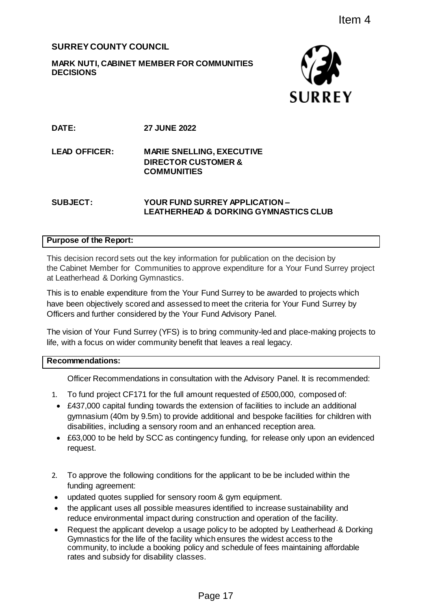# **SURREY COUNTY COUNCIL**

## **MARK NUTI, CABINET MEMBER FOR COMMUNITIES DECISIONS**



**DATE: 27 JUNE 2022**

**LEAD OFFICER:** 

**MARIE SNELLING, EXECUTIVE DIRECTOR CUSTOMER & COMMUNITIES**

## **SUBJECT: YOUR FUND SURREY APPLICATION – LEATHERHEAD & DORKING GYMNASTICS CLUB**

## **Purpose of the Report:**

This decision record sets out the key information for publication on the decision by the Cabinet Member for Communities to approve expenditure for a Your Fund Surrey project at Leatherhead & Dorking Gymnastics.

This is to enable expenditure from the Your Fund Surrey to be awarded to projects which have been objectively scored and assessed to meet the criteria for Your Fund Surrey by Officers and further considered by the Your Fund Advisory Panel.

The vision of Your Fund Surrey (YFS) is to bring community-led and place-making projects to life, with a focus on wider community benefit that leaves a real legacy.

#### **Recommendations:**

Officer Recommendations in consultation with the Advisory Panel. It is recommended:

- 1. To fund project CF171 for the full amount requested of £500,000, composed of:
- £437,000 capital funding towards the extension of facilities to include an additional gymnasium (40m by 9.5m) to provide additional and bespoke facilities for children with disabilities, including a sensory room and an enhanced reception area.
- £63,000 to be held by SCC as contingency funding, for release only upon an evidenced request.
- 2. To approve the following conditions for the applicant to be be included within the funding agreement:
- updated quotes supplied for sensory room & gym equipment.
- the applicant uses all possible measures identified to increase sustainability and reduce environmental impact during construction and operation of the facility.
- Request the applicant develop a usage policy to be adopted by Leatherhead & Dorking Gymnastics for the life of the facility which ensures the widest access to the community, to include a booking policy and schedule of fees maintaining affordable rates and subsidy for disability classes. Item 4<br>
SURREY<br>
SURREY<br>
ING, EXECUTIVE<br>
ISTOMER &<br>
S<br>
URREY APPLICATION –<br>
D. & DORKING GYMNASTICS CLUB<br>
ADDITION TO THE SURFACT AND TO THE SURFACT ON THE SURFACT ONLY FURN SURFACT AND SURFACT USE Fund Surrey by Fund Advis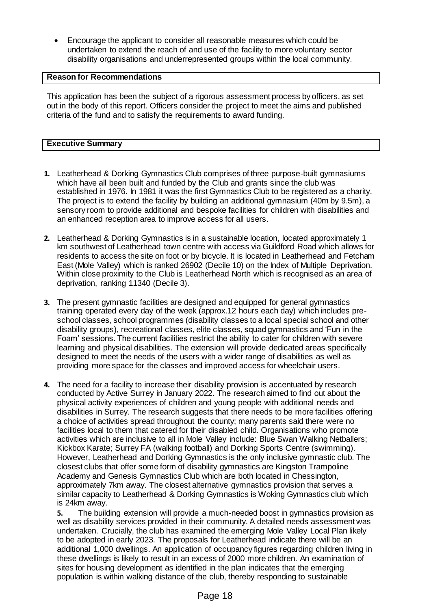Encourage the applicant to consider all reasonable measures which could be undertaken to extend the reach of and use of the facility to more voluntary sector disability organisations and underrepresented groups within the local community.

## **Reason for Recommendations**

This application has been the subject of a rigorous assessment process by officers, as set out in the body of this report. Officers consider the project to meet the aims and published criteria of the fund and to satisfy the requirements to award funding.

## **Executive Summary**

- **1.** Leatherhead & Dorking Gymnastics Club comprises of three purpose-built gymnasiums which have all been built and funded by the Club and grants since the club was established in 1976. In 1981 it was the first Gymnastics Club to be registered as a charity. The project is to extend the facility by building an additional gymnasium (40m by 9.5m), a sensory room to provide additional and bespoke facilities for children with disabilities and an enhanced reception area to improve access for all users.
- **2.** Leatherhead & Dorking Gymnastics is in a sustainable location, located approximately 1 km southwest of Leatherhead town centre with access via Guildford Road which allows for residents to access the site on foot or by bicycle. It is located in Leatherhead and Fetcham East (Mole Valley) which is ranked 26902 (Decile 10) on the Index of Multiple Deprivation. Within close proximity to the Club is Leatherhead North which is recognised as an area of deprivation, ranking 11340 (Decile 3).
- **3.** The present gymnastic facilities are designed and equipped for general gymnastics training operated every day of the week (approx.12 hours each day) which includes preschool classes, school programmes (disability classes to a local special school and other disability groups), recreational classes, elite classes, squad gymnastics and 'Fun in the Foam' sessions. The current facilities restrict the ability to cater for children with severe learning and physical disabilities. The extension will provide dedicated areas specifically designed to meet the needs of the users with a wider range of disabilities as well as providing more space for the classes and improved access for wheelchair users.
- **4.** The need for a facility to increase their disability provision is accentuated by research conducted by Active Surrey in January 2022. The research aimed to find out about the physical activity experiences of children and young people with additional needs and disabilities in Surrey. The research suggests that there needs to be more facilities offering a choice of activities spread throughout the county; many parents said there were no facilities local to them that catered for their disabled child. Organisations who promote activities which are inclusive to all in Mole Valley include: Blue Swan Walking Netballers; Kickbox Karate; Surrey FA (walking football) and Dorking Sports Centre (swimming). However, Leatherhead and Dorking Gymnastics is the only inclusive gymnastic club. The closest clubs that offer some form of disability gymnastics are Kingston Trampoline Academy and Genesis Gymnastics Club which are both located in Chessington, approximately 7km away. The closest alternative gymnastics provision that serves a similar capacity to Leatherhead & Dorking Gymnastics is Woking Gymnastics club which is 24km away.

**5.** The building extension will provide a much-needed boost in gymnastics provision as well as disability services provided in their community. A detailed needs assessment was undertaken. Crucially, the club has examined the emerging Mole Valley Local Plan likely to be adopted in early 2023. The proposals for Leatherhead indicate there will be an additional 1,000 dwellings. An application of occupancy figures regarding children living in these dwellings is likely to result in an excess of 2000 more children. An examination of sites for housing development as identified in the plan indicates that the emerging population is within walking distance of the club, thereby responding to sustainable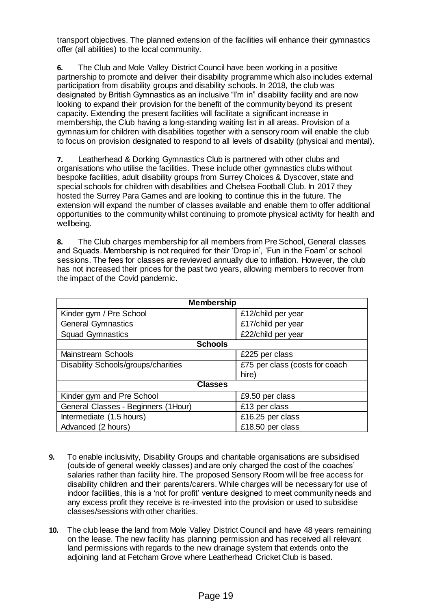transport objectives. The planned extension of the facilities will enhance their gymnastics offer (all abilities) to the local community.

**6.** The Club and Mole Valley District Council have been working in a positive partnership to promote and deliver their disability programme which also includes external participation from disability groups and disability schools. In 2018, the club was designated by British Gymnastics as an inclusive "I'm in" disability facility and are now looking to expand their provision for the benefit of the community beyond its present capacity. Extending the present facilities will facilitate a significant increase in membership, the Club having a long-standing waiting list in all areas. Provision of a gymnasium for children with disabilities together with a sensory room will enable the club to focus on provision designated to respond to all levels of disability (physical and mental).

**7.** Leatherhead & Dorking Gymnastics Club is partnered with other clubs and organisations who utilise the facilities. These include other gymnastics clubs without bespoke facilities, adult disability groups from Surrey Choices & Dyscover, state and special schools for children with disabilities and Chelsea Football Club. In 2017 they hosted the Surrey Para Games and are looking to continue this in the future. The extension will expand the number of classes available and enable them to offer additional opportunities to the community whilst continuing to promote physical activity for health and wellbeing.

**8.** The Club charges membership for all members from Pre School, General classes and Squads. Membership is not required for their 'Drop in', 'Fun in the Foam' or school sessions. The fees for classes are reviewed annually due to inflation. However, the club has not increased their prices for the past two years, allowing members to recover from the impact of the Covid pandemic.

| <b>Membership</b>                   |                                |  |
|-------------------------------------|--------------------------------|--|
| Kinder gym / Pre School             | £12/child per year             |  |
| <b>General Gymnastics</b>           | £17/child per year             |  |
| <b>Squad Gymnastics</b>             | £22/child per year             |  |
| <b>Schools</b>                      |                                |  |
| <b>Mainstream Schools</b>           | £225 per class                 |  |
| Disability Schools/groups/charities | £75 per class (costs for coach |  |
|                                     | hire)                          |  |
| <b>Classes</b>                      |                                |  |
| Kinder gym and Pre School           | £9.50 per class                |  |
| General Classes - Beginners (1Hour) | £13 per class                  |  |
| Intermediate (1.5 hours)            | £16.25 per class               |  |
| Advanced (2 hours)                  | £18.50 per class               |  |

- **9.** To enable inclusivity, Disability Groups and charitable organisations are subsidised (outside of general weekly classes) and are only charged the cost of the coaches' salaries rather than facility hire. The proposed Sensory Room will be free access for disability children and their parents/carers. While charges will be necessary for use of indoor facilities, this is a 'not for profit' venture designed to meet community needs and any excess profit they receive is re-invested into the provision or used to subsidise classes/sessions with other charities.
- **10.** The club lease the land from Mole Valley District Council and have 48 years remaining on the lease. The new facility has planning permission and has received all relevant land permissions with regards to the new drainage system that extends onto the adjoining land at Fetcham Grove where Leatherhead Cricket Club is based.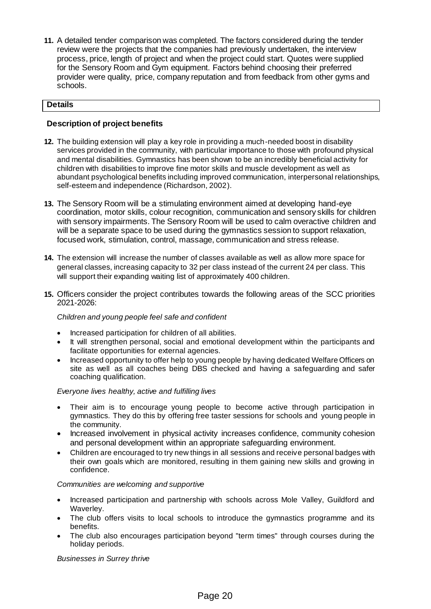**11.** A detailed tender comparison was completed. The factors considered during the tender review were the projects that the companies had previously undertaken, the interview process, price, length of project and when the project could start. Quotes were supplied for the Sensory Room and Gym equipment. Factors behind choosing their preferred provider were quality, price, company reputation and from feedback from other gyms and schools.

#### **Details**

#### **Description of project benefits**

- **12.** The building extension will play a key role in providing a much-needed boost in disability services provided in the community, with particular importance to those with profound physical and mental disabilities. Gymnastics has been shown to be an incredibly beneficial activity for children with disabilities to improve fine motor skills and muscle development as well as abundant psychological benefits including improved communication, interpersonal relationships, self-esteem and independence (Richardson, 2002).
- **13.** The Sensory Room will be a stimulating environment aimed at developing hand-eye coordination, motor skills, colour recognition, communication and sensory skills for children with sensory impairments. The Sensory Room will be used to calm overactive children and will be a separate space to be used during the gymnastics session to support relaxation, focused work, stimulation, control, massage, communication and stress release.
- **14.** The extension will increase the number of classes available as well as allow more space for general classes, increasing capacity to 32 per class instead of the current 24 per class. This will support their expanding waiting list of approximately 400 children.
- **15.** Officers consider the project contributes towards the following areas of the SCC priorities 2021-2026:

#### *Children and young people feel safe and confident*

- Increased participation for children of all abilities.
- It will strengthen personal, social and emotional development within the participants and facilitate opportunities for external agencies.
- Increased opportunity to offer help to young people by having dedicated Welfare Officers on site as well as all coaches being DBS checked and having a safeguarding and safer coaching qualification.

#### *Everyone lives healthy, active and fulfilling lives*

- Their aim is to encourage young people to become active through participation in gymnastics. They do this by offering free taster sessions for schools and young people in the community.
- Increased involvement in physical activity increases confidence, community cohesion and personal development within an appropriate safeguarding environment.
- Children are encouraged to try new things in all sessions and receive personal badges with their own goals which are monitored, resulting in them gaining new skills and growing in confidence.

#### *Communities are welcoming and supportive*

- Increased participation and partnership with schools across Mole Valley, Guildford and Waverley.
- The club offers visits to local schools to introduce the gymnastics programme and its benefits.
- The club also encourages participation beyond "term times" through courses during the holiday periods.

#### *Businesses in Surrey thrive*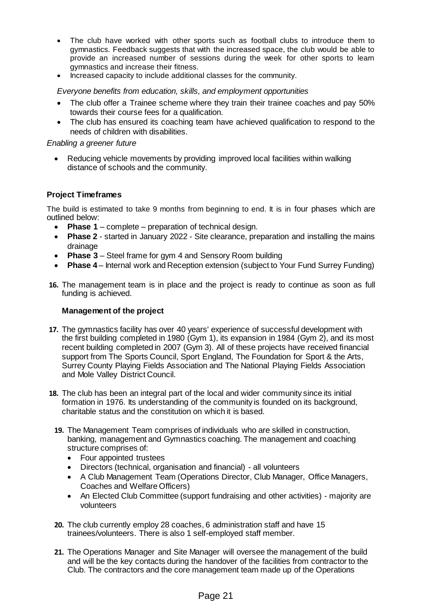- The club have worked with other sports such as football clubs to introduce them to gymnastics. Feedback suggests that with the increased space, the club would be able to provide an increased number of sessions during the week for other sports to learn gymnastics and increase their fitness.
- Increased capacity to include additional classes for the community.

*Everyone benefits from education, skills, and employment opportunities*

- The club offer a Trainee scheme where they train their trainee coaches and pay 50% towards their course fees for a qualification.
- The club has ensured its coaching team have achieved qualification to respond to the needs of children with disabilities.

#### *Enabling a greener future*

 Reducing vehicle movements by providing improved local facilities within walking distance of schools and the community.

## **Project Timeframes**

The build is estimated to take 9 months from beginning to end. It is in four phases which are outlined below:

- **Phase 1** complete preparation of technical design.
- **Phase 2**  started in January 2022 Site clearance, preparation and installing the mains drainage
- **Phase 3** Steel frame for gym 4 and Sensory Room building
- **Phase 4** Internal work and Reception extension (subject to Your Fund Surrey Funding)
- **16.** The management team is in place and the project is ready to continue as soon as full funding is achieved.

## **Management of the project**

- **17.** The gymnastics facility has over 40 years' experience of successful development with the first building completed in 1980 (Gym 1), its expansion in 1984 (Gym 2), and its most recent building completed in 2007 (Gym 3). All of these projects have received financial support from The Sports Council, Sport England, The Foundation for Sport & the Arts, Surrey County Playing Fields Association and The National Playing Fields Association and Mole Valley District Council.
- **18.** The club has been an integral part of the local and wider community since its initial formation in 1976. Its understanding of the community is founded on its background, charitable status and the constitution on which it is based.
	- **19.** The Management Team comprises of individuals who are skilled in construction, banking, management and Gymnastics coaching. The management and coaching structure comprises of:
		- Four appointed trustees
		- Directors (technical, organisation and financial) all volunteers
		- A Club Management Team (Operations Director, Club Manager, Office Managers, Coaches and Welfare Officers)
		- An Elected Club Committee (support fundraising and other activities) majority are volunteers
	- **20.** The club currently employ 28 coaches, 6 administration staff and have 15 trainees/volunteers. There is also 1 self-employed staff member.
	- **21.** The Operations Manager and Site Manager will oversee the management of the build and will be the key contacts during the handover of the facilities from contractor to the Club. The contractors and the core management team made up of the Operations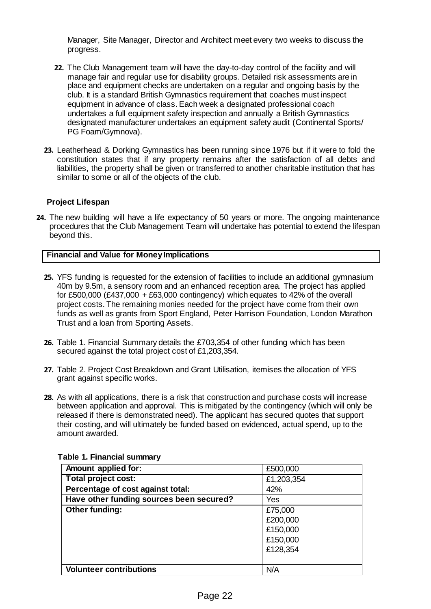Manager, Site Manager, Director and Architect meet every two weeks to discuss the progress.

- **22.** The Club Management team will have the day-to-day control of the facility and will manage fair and regular use for disability groups. Detailed risk assessments are in place and equipment checks are undertaken on a regular and ongoing basis by the club. It is a standard British Gymnastics requirement that coaches must inspect equipment in advance of class. Each week a designated professional coach undertakes a full equipment safety inspection and annually a British Gymnastics designated manufacturer undertakes an equipment safety audit (Continental Sports/ PG Foam/Gymnova).
- **23.** Leatherhead & Dorking Gymnastics has been running since 1976 but if it were to fold the constitution states that if any property remains after the satisfaction of all debts and liabilities, the property shall be given or transferred to another charitable institution that has similar to some or all of the objects of the club.

## **Project Lifespan**

**24.** The new building will have a life expectancy of 50 years or more. The ongoing maintenance procedures that the Club Management Team will undertake has potential to extend the lifespan beyond this.

## **Financial and Value for Money Implications**

- **25.** YFS funding is requested for the extension of facilities to include an additional gymnasium 40m by 9.5m, a sensory room and an enhanced reception area. The project has applied for £500,000 (£437,000 + £63,000 contingency) which equates to 42% of the overall project costs. The remaining monies needed for the project have come from their own funds as well as grants from Sport England, Peter Harrison Foundation, London Marathon Trust and a loan from Sporting Assets.
- **26.** Table 1. Financial Summary details the £703,354 of other funding which has been secured against the total project cost of £1,203,354.
- **27.** Table 2. Project Cost Breakdown and Grant Utilisation, itemises the allocation of YFS grant against specific works.
- **28.** As with all applications, there is a risk that construction and purchase costs will increase between application and approval. This is mitigated by the contingency (which will only be released if there is demonstrated need). The applicant has secured quotes that support their costing, and will ultimately be funded based on evidenced, actual spend, up to the amount awarded.

| Amount applied for:                      | £500,000   |
|------------------------------------------|------------|
| <b>Total project cost:</b>               | £1,203,354 |
| Percentage of cost against total:        | 42%        |
| Have other funding sources been secured? | Yes        |
| Other funding:                           | £75,000    |
|                                          | £200,000   |
|                                          | £150,000   |
|                                          | £150,000   |
|                                          | £128,354   |
|                                          |            |
| <b>Volunteer contributions</b>           | N/A        |

## **Table 1. Financial summary**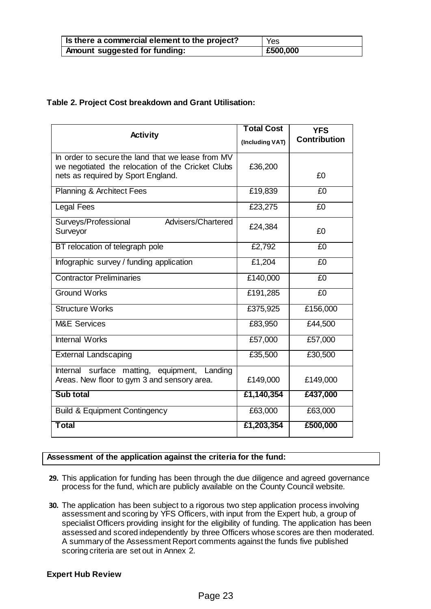| Is there a commercial element to the project? | <b>Yes</b> |
|-----------------------------------------------|------------|
| Amount suggested for funding:                 | E500,000   |

## **Table 2. Project Cost breakdown and Grant Utilisation:**

|                                                                                             | <b>Total Cost</b> | <b>YFS</b>          |
|---------------------------------------------------------------------------------------------|-------------------|---------------------|
| <b>Activity</b>                                                                             | (Including VAT)   | <b>Contribution</b> |
| In order to secure the land that we lease from MV                                           |                   |                     |
| we negotiated the relocation of the Cricket Clubs<br>nets as required by Sport England.     | £36,200           | £0                  |
| <b>Planning &amp; Architect Fees</b>                                                        | £19,839           | £0                  |
| <b>Legal Fees</b>                                                                           | £23,275           | £0                  |
| Advisers/Chartered<br>Surveys/Professional<br>Surveyor                                      | £24,384           | £0                  |
| BT relocation of telegraph pole                                                             | £2,792            | £0                  |
| Infographic survey / funding application                                                    | £1,204            | £0                  |
| <b>Contractor Preliminaries</b>                                                             | £140,000          | £0                  |
| <b>Ground Works</b>                                                                         | £191,285          | £0                  |
| <b>Structure Works</b>                                                                      | £375,925          | £156,000            |
| <b>M&amp;E Services</b>                                                                     | £83,950           | £44,500             |
| <b>Internal Works</b>                                                                       | £57,000           | £57,000             |
| <b>External Landscaping</b>                                                                 | £35,500           | £30,500             |
| Internal surface matting, equipment, Landing<br>Areas. New floor to gym 3 and sensory area. | £149,000          | £149,000            |
| Sub total                                                                                   | £1,140,354        | £437,000            |
| <b>Build &amp; Equipment Contingency</b>                                                    | £63,000           | £63,000             |
| <b>Total</b>                                                                                | £1,203,354        | £500,000            |

## **Assessment of the application against the criteria for the fund:**

- **29.** This application for funding has been through the due diligence and agreed governance process for the fund, which are publicly available on the County Council website.
- **30.** The application has been subject to a rigorous two step application process involving assessment and scoring by YFS Officers, with input from the Expert hub, a group of specialist Officers providing insight for the eligibility of funding. The application has been assessed and scored independently by three Officers whose scores are then moderated. A summary of the Assessment Report comments against the funds five published scoring criteria are set out in Annex 2.

## **Expert Hub Review**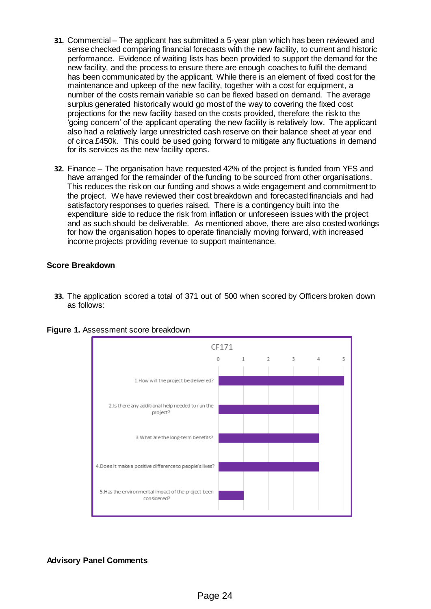- **31.** Commercial The applicant has submitted a 5-year plan which has been reviewed and sense checked comparing financial forecasts with the new facility, to current and historic performance. Evidence of waiting lists has been provided to support the demand for the new facility, and the process to ensure there are enough coaches to fulfil the demand has been communicated by the applicant. While there is an element of fixed cost for the maintenance and upkeep of the new facility, together with a cost for equipment, a number of the costs remain variable so can be flexed based on demand. The average surplus generated historically would go most of the way to covering the fixed cost projections for the new facility based on the costs provided, therefore the risk to the 'going concern' of the applicant operating the new facility is relatively low. The applicant also had a relatively large unrestricted cash reserve on their balance sheet at year end of circa £450k. This could be used going forward to mitigate any fluctuations in demand for its services as the new facility opens.
- **32.** Finance The organisation have requested 42% of the project is funded from YFS and have arranged for the remainder of the funding to be sourced from other organisations. This reduces the risk on our funding and shows a wide engagement and commitment to the project. We have reviewed their cost breakdown and forecasted financials and had satisfactory responses to queries raised. There is a contingency built into the expenditure side to reduce the risk from inflation or unforeseen issues with the project and as such should be deliverable. As mentioned above, there are also costed workings for how the organisation hopes to operate financially moving forward, with increased income projects providing revenue to support maintenance.

## **Score Breakdown**

**33.** The application scored a total of 371 out of 500 when scored by Officers broken down as follows:



**Figure 1.** Assessment score breakdown

# **Advisory Panel Comments**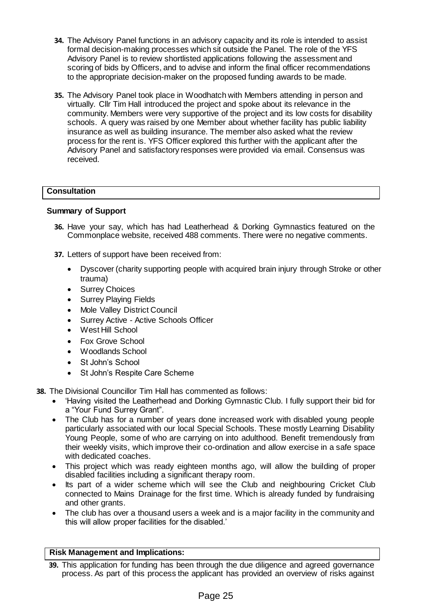- **34.** The Advisory Panel functions in an advisory capacity and its role is intended to assist formal decision-making processes which sit outside the Panel. The role of the YFS Advisory Panel is to review shortlisted applications following the assessment and scoring of bids by Officers, and to advise and inform the final officer recommendations to the appropriate decision-maker on the proposed funding awards to be made.
- **35.** The Advisory Panel took place in Woodhatch with Members attending in person and virtually. Cllr Tim Hall introduced the project and spoke about its relevance in the community. Members were very supportive of the project and its low costs for disability schools. A query was raised by one Member about whether facility has public liability insurance as well as building insurance. The member also asked what the review process for the rent is. YFS Officer explored this further with the applicant after the Advisory Panel and satisfactory responses were provided via email. Consensus was received.

# **Consultation**

## **Summary of Support**

- **36.** Have your say, which has had Leatherhead & Dorking Gymnastics featured on the Commonplace website, received 488 comments. There were no negative comments.
- **37.** Letters of support have been received from:
	- Dyscover (charity supporting people with acquired brain injury through Stroke or other trauma)
	- Surrey Choices
	- Surrey Playing Fields
	- Mole Valley District Council
	- Surrey Active Active Schools Officer
	- West Hill School
	- Fox Grove School
	- Woodlands School
	- St John's School
	- St John's Respite Care Scheme
- **38.** The Divisional Councillor Tim Hall has commented as follows:
	- 'Having visited the Leatherhead and Dorking Gymnastic Club. I fully support their bid for a "Your Fund Surrey Grant".
	- The Club has for a number of years done increased work with disabled young people particularly associated with our local Special Schools. These mostly Learning Disability Young People, some of who are carrying on into adulthood. Benefit tremendously from their weekly visits, which improve their co-ordination and allow exercise in a safe space with dedicated coaches.
	- This project which was ready eighteen months ago, will allow the building of proper disabled facilities including a significant therapy room.
	- Its part of a wider scheme which will see the Club and neighbouring Cricket Club connected to Mains Drainage for the first time. Which is already funded by fundraising and other grants.
	- The club has over a thousand users a week and is a major facility in the community and this will allow proper facilities for the disabled.'

## **Risk Management and Implications:**

**<sup>39.</sup>** This application for funding has been through the due diligence and agreed governance process. As part of this process the applicant has provided an overview of risks against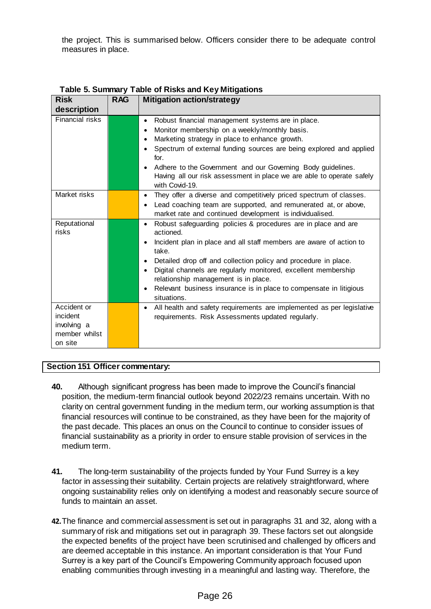the project. This is summarised below. Officers consider there to be adequate control measures in place.

| <b>Risk</b>           | <b>RAG</b> | <b>Mitigation action/strategy</b>                                                              |
|-----------------------|------------|------------------------------------------------------------------------------------------------|
| description           |            |                                                                                                |
| Financial risks       |            | Robust financial management systems are in place.<br>$\bullet$                                 |
|                       |            | Monitor membership on a weekly/monthly basis.<br>$\bullet$                                     |
|                       |            | Marketing strategy in place to enhance growth.<br>$\bullet$                                    |
|                       |            | Spectrum of external funding sources are being explored and applied<br>$\bullet$<br>for.       |
|                       |            | Adhere to the Government and our Governing Body guidelines.<br>$\bullet$                       |
|                       |            | Having all our risk assessment in place we are able to operate safely<br>with Covid-19.        |
| Market risks          |            | They offer a diverse and competitively priced spectrum of classes.<br>$\bullet$                |
|                       |            | Lead coaching team are supported, and remunerated at, or above,<br>$\bullet$                   |
|                       |            | market rate and continued development is individualised.                                       |
| Reputational<br>risks |            | Robust safeguarding policies & procedures are in place and are<br>$\bullet$<br>actioned.       |
|                       |            | Incident plan in place and all staff members are aware of action to<br>$\bullet$<br>take.      |
|                       |            | Detailed drop off and collection policy and procedure in place.<br>$\bullet$                   |
|                       |            | Digital channels are regularly monitored, excellent membership<br>$\bullet$                    |
|                       |            | relationship management is in place.                                                           |
|                       |            | Relevant business insurance is in place to compensate in litigious<br>$\bullet$<br>situations. |
| Accident or           |            | All health and safety requirements are implemented as per legislative<br>$\bullet$             |
| incident              |            | requirements. Risk Assessments updated regularly.                                              |
| involving a           |            |                                                                                                |
| member whilst         |            |                                                                                                |
| on site               |            |                                                                                                |

**Table 5. Summary Table of Risks and Key Mitigations**

# **Section 151 Officer commentary:**

- **40.** Although significant progress has been made to improve the Council's financial position, the medium-term financial outlook beyond 2022/23 remains uncertain. With no clarity on central government funding in the medium term, our working assumption is that financial resources will continue to be constrained, as they have been for the majority of the past decade. This places an onus on the Council to continue to consider issues of financial sustainability as a priority in order to ensure stable provision of services in the medium term.
- **41.** The long-term sustainability of the projects funded by Your Fund Surrey is a key factor in assessing their suitability. Certain projects are relatively straightforward, where ongoing sustainability relies only on identifying a modest and reasonably secure source of funds to maintain an asset.
- **42.**The finance and commercial assessment is set out in paragraphs 31 and 32, along with a summary of risk and mitigations set out in paragraph 39. These factors set out alongside the expected benefits of the project have been scrutinised and challenged by officers and are deemed acceptable in this instance. An important consideration is that Your Fund Surrey is a key part of the Council's Empowering Community approach focused upon enabling communities through investing in a meaningful and lasting way. Therefore, the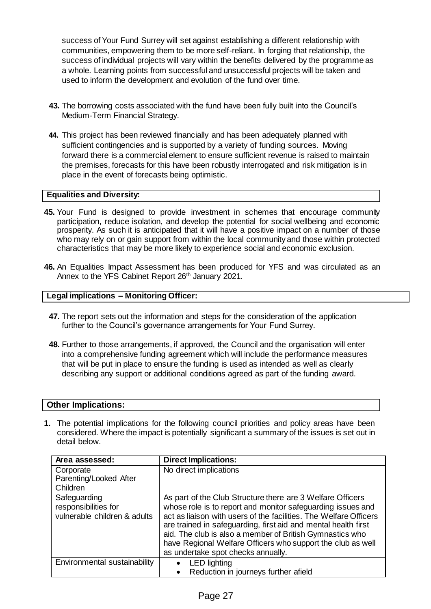success of Your Fund Surrey will set against establishing a different relationship with communities, empowering them to be more self-reliant. In forging that relationship, the success of individual projects will vary within the benefits delivered by the programme as a whole. Learning points from successful and unsuccessful projects will be taken and used to inform the development and evolution of the fund over time.

- **43.** The borrowing costs associated with the fund have been fully built into the Council's Medium-Term Financial Strategy.
- **44.** This project has been reviewed financially and has been adequately planned with sufficient contingencies and is supported by a variety of funding sources. Moving forward there is a commercial element to ensure sufficient revenue is raised to maintain the premises, forecasts for this have been robustly interrogated and risk mitigation is in place in the event of forecasts being optimistic.

## **Equalities and Diversity:**

- **45.** Your Fund is designed to provide investment in schemes that encourage community participation, reduce isolation, and develop the potential for social wellbeing and economic prosperity. As such it is anticipated that it will have a positive impact on a number of those who may rely on or gain support from within the local community and those within protected characteristics that may be more likely to experience social and economic exclusion.
- **46.** An Equalities Impact Assessment has been produced for YFS and was circulated as an Annex to the YFS Cabinet Report 26<sup>th</sup> January 2021.

#### **Legal implications – Monitoring Officer:**

- **47.** The report sets out the information and steps for the consideration of the application further to the Council's governance arrangements for Your Fund Surrey.
- **48.** Further to those arrangements, if approved, the Council and the organisation will enter into a comprehensive funding agreement which will include the performance measures that will be put in place to ensure the funding is used as intended as well as clearly describing any support or additional conditions agreed as part of the funding award.

#### **Other Implications:**

**1.** The potential implications for the following council priorities and policy areas have been considered. Where the impact is potentially significant a summary of the issues is set out in detail below.

| Area assessed:                                                       | <b>Direct Implications:</b>                                                                                                                                                                                                                                                                                                                                                                                                       |
|----------------------------------------------------------------------|-----------------------------------------------------------------------------------------------------------------------------------------------------------------------------------------------------------------------------------------------------------------------------------------------------------------------------------------------------------------------------------------------------------------------------------|
| Corporate<br>Parenting/Looked After<br>Children                      | No direct implications                                                                                                                                                                                                                                                                                                                                                                                                            |
| Safeguarding<br>responsibilities for<br>vulnerable children & adults | As part of the Club Structure there are 3 Welfare Officers<br>whose role is to report and monitor safeguarding issues and<br>act as liaison with users of the facilities. The Welfare Officers<br>are trained in safeguarding, first aid and mental health first<br>aid. The club is also a member of British Gymnastics who<br>have Regional Welfare Officers who support the club as well<br>as undertake spot checks annually. |
| Environmental sustainability                                         | <b>LED</b> lighting<br>$\bullet$<br>Reduction in journeys further afield<br>$\bullet$                                                                                                                                                                                                                                                                                                                                             |